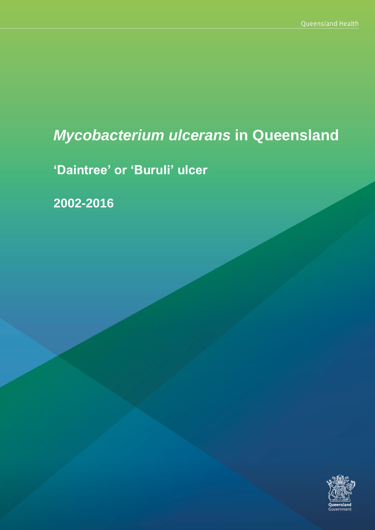# *Mycobacterium ulcerans* **in Queensland**

**'Daintree' or 'Buruli' ulcer**

**2002-2016**

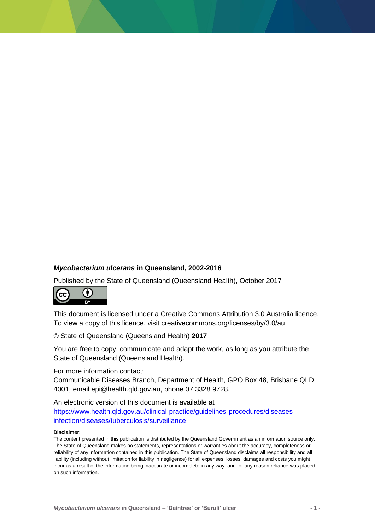#### *Mycobacterium ulcerans* **in Queensland, 2002-2016**

Published by the State of Queensland (Queensland Health), October 2017



This document is licensed under a Creative Commons Attribution 3.0 Australia licence. To view a copy of this licence, visit creativecommons.org/licenses/by/3.0/au

© State of Queensland (Queensland Health) **2017**

You are free to copy, communicate and adapt the work, as long as you attribute the State of Queensland (Queensland Health).

For more information contact:

Communicable Diseases Branch, Department of Health, GPO Box 48, Brisbane QLD 4001, email epi@health.qld.gov.au, phone 07 3328 9728.

An electronic version of this document is available at [https://www.health.qld.gov.au/clinical-practice/guidelines-procedures/diseases](https://www.health.qld.gov.au/clinical-practice/guidelines-procedures/diseases-infection/diseases/tuberculosis/surveillance)[infection/diseases/tuberculosis/surveillance](https://www.health.qld.gov.au/clinical-practice/guidelines-procedures/diseases-infection/diseases/tuberculosis/surveillance)

#### **Disclaimer:**

The content presented in this publication is distributed by the Queensland Government as an information source only. The State of Queensland makes no statements, representations or warranties about the accuracy, completeness or reliability of any information contained in this publication. The State of Queensland disclaims all responsibility and all liability (including without limitation for liability in negligence) for all expenses, losses, damages and costs you might incur as a result of the information being inaccurate or incomplete in any way, and for any reason reliance was placed on such information.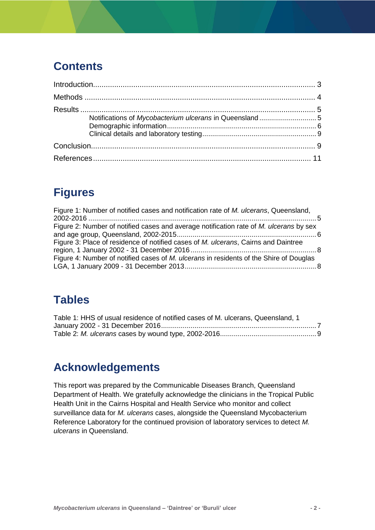### **Contents**

# **Figures**

| Figure 1: Number of notified cases and notification rate of M. ulcerans, Queensland,   |  |
|----------------------------------------------------------------------------------------|--|
| Figure 2: Number of notified cases and average notification rate of M. ulcerans by sex |  |
|                                                                                        |  |
| Figure 3: Place of residence of notified cases of M. ulcerans, Cairns and Daintree     |  |
|                                                                                        |  |
| Figure 4: Number of notified cases of M. ulcerans in residents of the Shire of Douglas |  |
|                                                                                        |  |

# **Tables**

| Table 1: HHS of usual residence of notified cases of M. ulcerans, Queensland, 1 |  |
|---------------------------------------------------------------------------------|--|
|                                                                                 |  |
|                                                                                 |  |

### **Acknowledgements**

This report was prepared by the Communicable Diseases Branch, Queensland Department of Health. We gratefully acknowledge the clinicians in the Tropical Public Health Unit in the Cairns Hospital and Health Service who monitor and collect surveillance data for *M. ulcerans* cases, alongside the Queensland Mycobacterium Reference Laboratory for the continued provision of laboratory services to detect *M. ulcerans* in Queensland.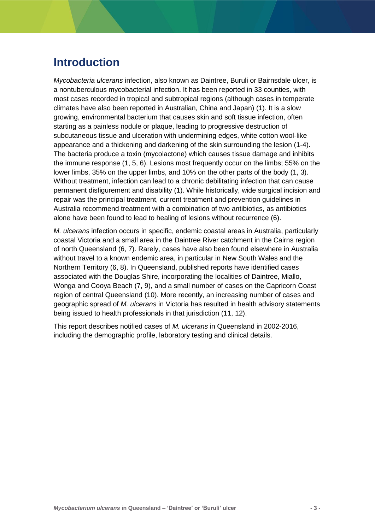### <span id="page-3-0"></span>**Introduction**

*Mycobacteria ulcerans* infection, also known as Daintree, Buruli or Bairnsdale ulcer, is a nontuberculous mycobacterial infection. It has been reported in 33 counties, with most cases recorded in tropical and subtropical regions (although cases in temperate climates have also been reported in Australian, China and Japan) (1). It is a slow growing, environmental bacterium that causes skin and soft tissue infection, often starting as a painless nodule or plaque, leading to progressive destruction of subcutaneous tissue and ulceration with undermining edges, white cotton wool-like appearance and a thickening and darkening of the skin surrounding the lesion (1-4). The bacteria produce a toxin (mycolactone) which causes tissue damage and inhibits the immune response (1, 5, 6). Lesions most frequently occur on the limbs; 55% on the lower limbs, 35% on the upper limbs, and 10% on the other parts of the body (1, 3). Without treatment, infection can lead to a chronic debilitating infection that can cause permanent disfigurement and disability (1). While historically, wide surgical incision and repair was the principal treatment, current treatment and prevention guidelines in Australia recommend treatment with a combination of two antibiotics, as antibiotics alone have been found to lead to healing of lesions without recurrence (6).

*M. ulcerans* infection occurs in specific, endemic coastal areas in Australia, particularly coastal Victoria and a small area in the Daintree River catchment in the Cairns region of north Queensland (6, 7). Rarely, cases have also been found elsewhere in Australia without travel to a known endemic area, in particular in New South Wales and the Northern Territory (6, 8). In Queensland, published reports have identified cases associated with the Douglas Shire, incorporating the localities of Daintree, Miallo, Wonga and Cooya Beach (7, 9), and a small number of cases on the Capricorn Coast region of central Queensland (10). More recently, an increasing number of cases and geographic spread of *M. ulcerans* in Victoria has resulted in health advisory statements being issued to health professionals in that jurisdiction (11, 12).

This report describes notified cases of *M. ulcerans* in Queensland in 2002-2016, including the demographic profile, laboratory testing and clinical details.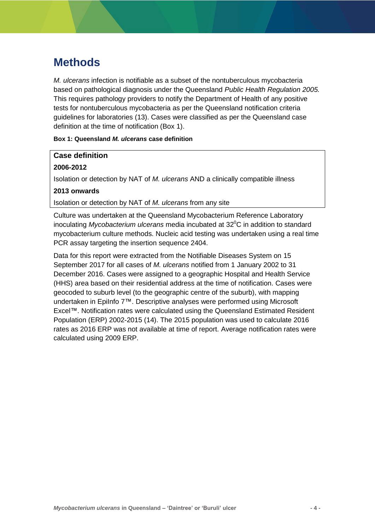### <span id="page-4-0"></span>**Methods**

*M. ulcerans* infection is notifiable as a subset of the nontuberculous mycobacteria based on pathological diagnosis under the Queensland *Public Health Regulation 2005.*  This requires pathology providers to notify the Department of Health of any positive tests for nontuberculous mycobacteria as per the Queensland notification criteria guidelines for laboratories (13). Cases were classified as per the Queensland case definition at the time of notification (Box 1).

#### **Box 1: Queensland** *M. ulcerans* **case definition**

#### **Case definition**

#### **2006-2012**

Isolation or detection by NAT of *M. ulcerans* AND a clinically compatible illness

#### **2013 onwards**

Isolation or detection by NAT of *M. ulcerans* from any site

Culture was undertaken at the Queensland Mycobacterium Reference Laboratory inoculating *Mycobacterium ulcerans* media incubated at 32<sup>°</sup>C in addition to standard mycobacterium culture methods. Nucleic acid testing was undertaken using a real time PCR assay targeting the insertion sequence 2404.

Data for this report were extracted from the Notifiable Diseases System on 15 September 2017 for all cases of *M. ulcerans* notified from 1 January 2002 to 31 December 2016. Cases were assigned to a geographic Hospital and Health Service (HHS) area based on their residential address at the time of notification. Cases were geocoded to suburb level (to the geographic centre of the suburb), with mapping undertaken in EpiInfo 7™. Descriptive analyses were performed using Microsoft Excel™. Notification rates were calculated using the Queensland Estimated Resident Population (ERP) 2002-2015 (14). The 2015 population was used to calculate 2016 rates as 2016 ERP was not available at time of report. Average notification rates were calculated using 2009 ERP.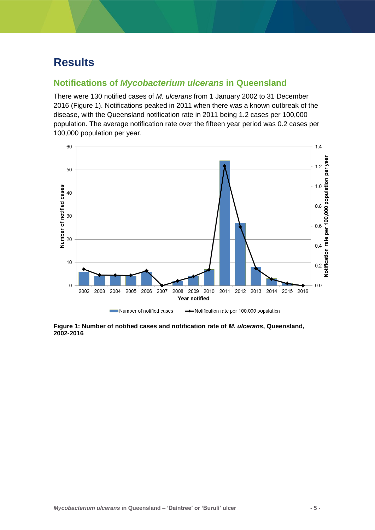### <span id="page-5-0"></span>**Results**

### <span id="page-5-1"></span>**Notifications of** *Mycobacterium ulcerans* **in Queensland**

There were 130 notified cases of *M. ulcerans* from 1 January 2002 to 31 December 2016 (Figure 1). Notifications peaked in 2011 when there was a known outbreak of the disease, with the Queensland notification rate in 2011 being 1.2 cases per 100,000 population. The average notification rate over the fifteen year period was 0.2 cases per 100,000 population per year.



<span id="page-5-2"></span>**Figure 1: Number of notified cases and notification rate of** *M. ulcerans***, Queensland, 2002-2016**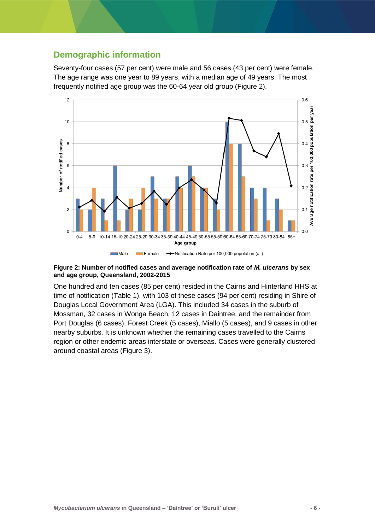### <span id="page-6-0"></span>**Demographic information**

Seventy-four cases (57 per cent) were male and 56 cases (43 per cent) were female. The age range was one year to 89 years, with a median age of 49 years. The most frequently notified age group was the 60-64 year old group (Figure 2).



#### <span id="page-6-1"></span>**Figure 2: Number of notified cases and average notification rate of** *M. ulcerans* **by sex and age group, Queensland, 2002-2015**

One hundred and ten cases (85 per cent) resided in the Cairns and Hinterland HHS at time of notification (Table 1), with 103 of these cases (94 per cent) residing in Shire of Douglas Local Government Area (LGA). This included 34 cases in the suburb of Mossman, 32 cases in Wonga Beach, 12 cases in Daintree, and the remainder from Port Douglas (6 cases), Forest Creek (5 cases), Miallo (5 cases), and 9 cases in other nearby suburbs. It is unknown whether the remaining cases travelled to the Cairns region or other endemic areas interstate or overseas. Cases were generally clustered around coastal areas (Figure 3).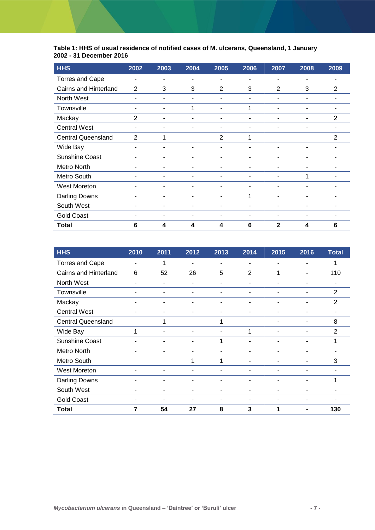#### <span id="page-7-0"></span>**Table 1: HHS of usual residence of notified cases of M. ulcerans, Queensland, 1 January 2002 - 31 December 2016**

| <b>HHS</b>                | 2002 | 2003 | 2004 | 2005           | 2006                     | 2007                     | 2008 | 2009           |
|---------------------------|------|------|------|----------------|--------------------------|--------------------------|------|----------------|
| <b>Torres and Cape</b>    | ٠    | ۰    | ۰    | ۰              |                          |                          | ۰    |                |
| Cairns and Hinterland     | 2    | 3    | 3    | 2              | 3                        | 2                        | 3    | 2              |
| North West                | ٠    | ۰    | ٠    | ٠              | $\blacksquare$           | ۰                        | -    |                |
| Townsville                | ٠    | ٠    | 1    | ٠              | 1                        | ۰                        | ۰    | ۰              |
| Mackay                    | 2    | ۰    | ۰    | ٠              | ۰                        |                          | -    | 2              |
| <b>Central West</b>       | ۰    |      |      | ۳              |                          |                          |      |                |
| <b>Central Queensland</b> | 2    |      |      | $\overline{2}$ | 1                        |                          |      | $\overline{2}$ |
| Wide Bay                  | ۰    |      | -    | ۰              |                          |                          |      |                |
| <b>Sunshine Coast</b>     | ٠    | ٠    | ۰    | ٠              | $\overline{a}$           | ۰                        | ۰    |                |
| Metro North               | ٠    | ٠    | ٠    | ٠              | $\overline{\phantom{a}}$ | $\overline{\phantom{a}}$ | ۰    |                |
| Metro South               |      | ٠    | ۰    | ۰              | ۰                        |                          | 1    |                |
| <b>West Moreton</b>       |      |      | ۳    | -              |                          |                          |      |                |
| <b>Darling Downs</b>      |      |      | -    |                | 1                        |                          |      |                |
| South West                | ۰    |      | -    | -              |                          |                          |      |                |
| <b>Gold Coast</b>         | ۰    |      | ۰    | ٠              | $\blacksquare$           |                          |      |                |
| <b>Total</b>              | 6    | 4    | 4    | 4              | 6                        | $\mathbf{2}$             | 4    | 6              |

| <b>HHS</b>                | 2010 | 2011 | 2012 | 2013 | 2014                     | 2015 | 2016 | <b>Total</b>   |
|---------------------------|------|------|------|------|--------------------------|------|------|----------------|
| <b>Torres and Cape</b>    | ٠    | 1    | ٠    | ٠    | ٠                        | ۰    | ۰    |                |
| Cairns and Hinterland     | 6    | 52   | 26   | 5    | $\overline{2}$           | 1    |      | 110            |
| North West                |      |      | ۰    | ۰    |                          |      |      |                |
| Townsville                | ۰    | ٠    | ٠    | ۰    |                          |      |      | 2              |
| Mackay                    | ٠    | ٠    | ٠    | ٠    | ٠                        | ۰    | ۰    | $\overline{2}$ |
| <b>Central West</b>       | ٠    | ٠    | ۰    | ۰    | $\overline{\phantom{a}}$ | ٠    | -    | ۰              |
| <b>Central Queensland</b> |      |      |      |      |                          |      |      | 8              |
| Wide Bay                  |      |      | ۰    | ۳    | 1                        |      |      | $\overline{2}$ |
| <b>Sunshine Coast</b>     | ٠    | ٠    | ٠    | 1    |                          |      |      |                |
| Metro North               | ۰    | ۰    | ۰    | ٠    |                          |      | ۰    |                |
| Metro South               |      |      | 1    | 1    | $\overline{\phantom{a}}$ | ۰    | ۰    | 3              |
| West Moreton              | ۰    |      | ۰    | ۰    |                          |      |      |                |
| <b>Darling Downs</b>      |      |      | ۰    |      |                          |      |      |                |
| South West                | ۰    | ۰    | ٠    | ۳    |                          |      |      |                |
| <b>Gold Coast</b>         | ۰    | ٠    | ۰    | ٠    |                          | ۰    | ۰    |                |
| Total                     | 7    | 54   | 27   | 8    | 3                        | 1    |      | 130            |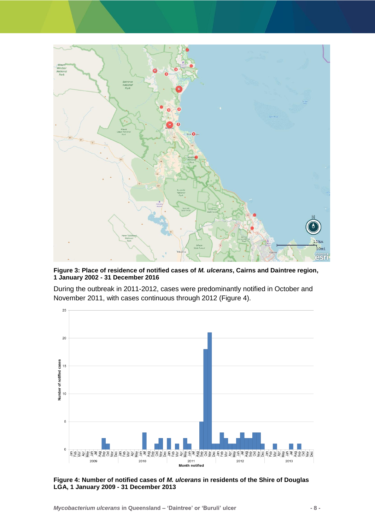

<span id="page-8-0"></span>**Figure 3: Place of residence of notified cases of** *M. ulcerans***, Cairns and Daintree region, 1 January 2002 - 31 December 2016**

During the outbreak in 2011-2012, cases were predominantly notified in October and November 2011, with cases continuous through 2012 (Figure 4).



<span id="page-8-1"></span>**Figure 4: Number of notified cases of** *M. ulcerans* **in residents of the Shire of Douglas LGA, 1 January 2009 - 31 December 2013**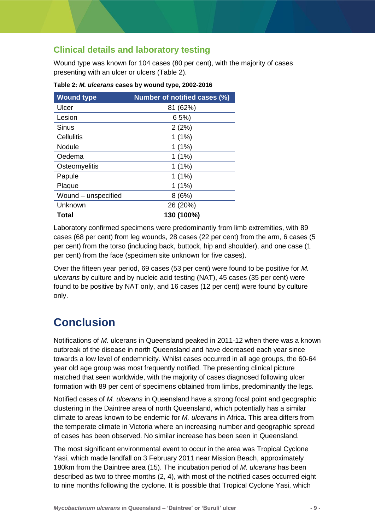### <span id="page-9-0"></span>**Clinical details and laboratory testing**

Wound type was known for 104 cases (80 per cent), with the majority of cases presenting with an ulcer or ulcers (Table 2).

| <b>Wound type</b>   | Number of notified cases (%) |  |  |  |  |
|---------------------|------------------------------|--|--|--|--|
| Ulcer               | 81 (62%)                     |  |  |  |  |
| Lesion              | 65%                          |  |  |  |  |
| <b>Sinus</b>        | 2(2%)                        |  |  |  |  |
| Cellulitis          | 1(1%)                        |  |  |  |  |
| <b>Nodule</b>       | $1(1\%)$                     |  |  |  |  |
| Oedema              | $1(1\%)$                     |  |  |  |  |
| Osteomyelitis       | $1(1\%)$                     |  |  |  |  |
| Papule              | $1(1\%)$                     |  |  |  |  |
| Plaque              | $1(1\%)$                     |  |  |  |  |
| Wound - unspecified | 8(6%)                        |  |  |  |  |
| Unknown             | 26 (20%)                     |  |  |  |  |
| Total               | 130 (100%)                   |  |  |  |  |

<span id="page-9-2"></span>**Table 2:** *M. ulcerans* **cases by wound type, 2002-2016**

Laboratory confirmed specimens were predominantly from limb extremities, with 89 cases (68 per cent) from leg wounds, 28 cases (22 per cent) from the arm, 6 cases (5 per cent) from the torso (including back, buttock, hip and shoulder), and one case (1 per cent) from the face (specimen site unknown for five cases).

Over the fifteen year period, 69 cases (53 per cent) were found to be positive for *M. ulcerans* by culture and by nucleic acid testing (NAT), 45 cases (35 per cent) were found to be positive by NAT only, and 16 cases (12 per cent) were found by culture only.

# <span id="page-9-1"></span>**Conclusion**

Notifications of *M.* ulcerans in Queensland peaked in 2011-12 when there was a known outbreak of the disease in north Queensland and have decreased each year since towards a low level of endemnicity. Whilst cases occurred in all age groups, the 60-64 year old age group was most frequently notified. The presenting clinical picture matched that seen worldwide, with the majority of cases diagnosed following ulcer formation with 89 per cent of specimens obtained from limbs, predominantly the legs.

Notified cases of *M. ulcerans* in Queensland have a strong focal point and geographic clustering in the Daintree area of north Queensland, which potentially has a similar climate to areas known to be endemic for *M. ulcerans* in Africa. This area differs from the temperate climate in Victoria where an increasing number and geographic spread of cases has been observed. No similar increase has been seen in Queensland.

The most significant environmental event to occur in the area was Tropical Cyclone Yasi, which made landfall on 3 February 2011 near Mission Beach, approximately 180km from the Daintree area (15). The incubation period of *M. ulcerans* has been described as two to three months (2, 4), with most of the notified cases occurred eight to nine months following the cyclone. It is possible that Tropical Cyclone Yasi, which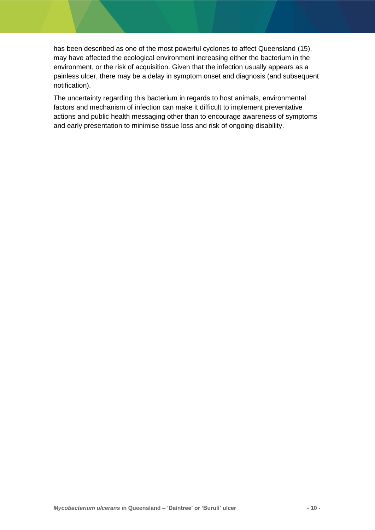has been described as one of the most powerful cyclones to affect Queensland (15), may have affected the ecological environment increasing either the bacterium in the environment, or the risk of acquisition. Given that the infection usually appears as a painless ulcer, there may be a delay in symptom onset and diagnosis (and subsequent notification).

The uncertainty regarding this bacterium in regards to host animals, environmental factors and mechanism of infection can make it difficult to implement preventative actions and public health messaging other than to encourage awareness of symptoms and early presentation to minimise tissue loss and risk of ongoing disability.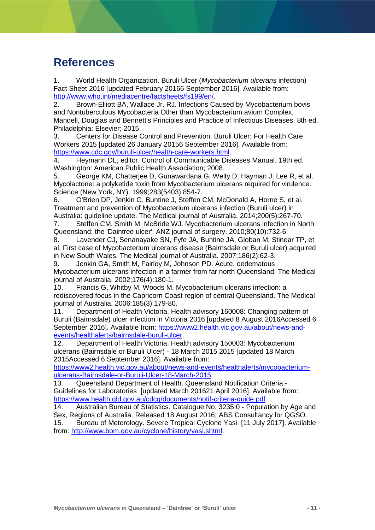### <span id="page-11-0"></span>**References**

1. World Health Organization. Buruli Ulcer (*Mycobacterium ulcerans* infection) Fact Sheet 2016 [updated February 20166 September 2016]. Available from: [http://www.who.int/mediacentre/factsheets/fs199/en/.](http://www.who.int/mediacentre/factsheets/fs199/en/)

2. Brown-Elliott BA, Wallace Jr. RJ. Infections Caused by Mycobacterium bovis and Nontuberculous Mycobacteria Other than Mycobacterium avium Complex. Mandell, Douglas and Bennett's Principles and Practice of Infectious Diseases. 8th ed. Philadelphia: Elsevier; 2015.

3. Centers for Disease Control and Prevention. Buruli Ulcer: For Health Care Workers 2015 [updated 26 January 20156 September 2016]. Available from: [https://www.cdc.gov/buruli-ulcer/health-care-workers.html.](https://www.cdc.gov/buruli-ulcer/health-care-workers.html)

4. Heymann DL, editor. Control of Communicable Diseases Manual. 19th ed. Washington: American Public Health Association; 2008.

5. George KM, Chatterjee D, Gunawardana G, Welty D, Hayman J, Lee R, et al. Mycolactone: a polyketide toxin from Mycobacterium ulcerans required for virulence. Science (New York, NY). 1999;283(5403):854-7.

6. O'Brien DP, Jenkin G, Buntine J, Steffen CM, McDonald A, Horne S, et al. Treatment and prevention of Mycobacterium ulcerans infection (Buruli ulcer) in Australia: guideline update. The Medical journal of Australia. 2014;200(5):267-70.

7. Steffen CM, Smith M, McBride WJ. Mycobacterium ulcerans infection in North Queensland: the 'Daintree ulcer'. ANZ journal of surgery. 2010;80(10):732-6.

8. Lavender CJ, Senanayake SN, Fyfe JA, Buntine JA, Globan M, Stinear TP, et al. First case of Mycobacterium ulcerans disease (Bairnsdale or Buruli ulcer) acquired in New South Wales. The Medical journal of Australia. 2007;186(2):62-3.

9. Jenkin GA, Smith M, Fairley M, Johnson PD. Acute, oedematous Mycobacterium ulcerans infection in a farmer from far north Queensland. The Medical journal of Australia. 2002;176(4):180-1.

10. Francis G, Whitby M, Woods M. Mycobacterium ulcerans infection: a rediscovered focus in the Capricorn Coast region of central Queensland. The Medical journal of Australia. 2006;185(3):179-80.

11. Department of Health Victoria. Health advisory 160008: Changing pattern of Buruli (Bairnsdale) ulcer infection in Victoria 2016 [updated 8 August 2016Accessed 6 September 2016]. Available from: [https://www2.health.vic.gov.au/about/news-and](https://www2.health.vic.gov.au/about/news-and-events/healthalerts/bairnsdale-buruli-ulcer)[events/healthalerts/bairnsdale-buruli-ulcer.](https://www2.health.vic.gov.au/about/news-and-events/healthalerts/bairnsdale-buruli-ulcer)

12. Department of Health Victoria. Health advisory 150003: Mycobacterium ulcerans (Bairnsdale or Buruli Ulcer) - 18 March 2015 2015 [updated 18 March 2015Accessed 6 September 2016]. Available from:

[https://www2.health.vic.gov.au/about/news-and-events/healthalerts/mycobacterium](https://www2.health.vic.gov.au/about/news-and-events/healthalerts/mycobacterium-ulcerans-Bairnsdale-or-Buruli-Ulcer-18-March-2015)[ulcerans-Bairnsdale-or-Buruli-Ulcer-18-March-2015.](https://www2.health.vic.gov.au/about/news-and-events/healthalerts/mycobacterium-ulcerans-Bairnsdale-or-Buruli-Ulcer-18-March-2015)

13. Queensland Department of Health. Queensland Notification Criteria - Guidelines for Laboratories [updated March 201621 April 2016]. Available from: [https://www.health.qld.gov.au/cdcg/documents/notif-criteria-guide.pdf.](https://www.health.qld.gov.au/cdcg/documents/notif-criteria-guide.pdf)

14. Australian Bureau of Statistics. Catalogue No. 3235.0 - Population by Age and Sex, Regions of Australia. Released 18 August 2016; ABS Consultancy for QGSO.

15. Bureau of Meterology. Severe Tropical Cyclone Yasi [11 July 2017]. Available from: [http://www.bom.gov.au/cyclone/history/yasi.shtml.](http://www.bom.gov.au/cyclone/history/yasi.shtml)